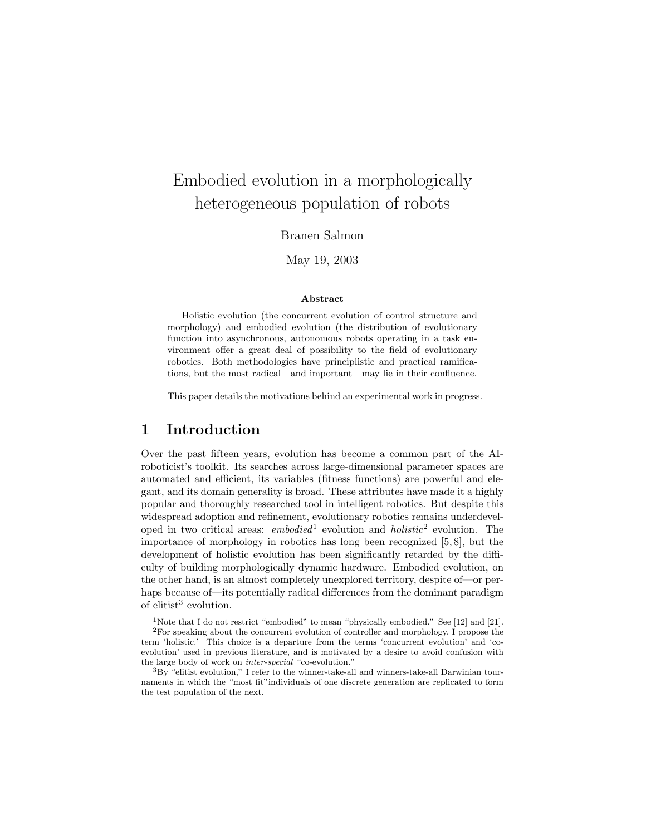# Embodied evolution in a morphologically heterogeneous population of robots

Branen Salmon

May 19, 2003

#### Abstract

Holistic evolution (the concurrent evolution of control structure and morphology) and embodied evolution (the distribution of evolutionary function into asynchronous, autonomous robots operating in a task environment offer a great deal of possibility to the field of evolutionary robotics. Both methodologies have principlistic and practical ramifications, but the most radical—and important—may lie in their confluence.

This paper details the motivations behind an experimental work in progress.

# 1 Introduction

Over the past fifteen years, evolution has become a common part of the AIroboticist's toolkit. Its searches across large-dimensional parameter spaces are automated and efficient, its variables (fitness functions) are powerful and elegant, and its domain generality is broad. These attributes have made it a highly popular and thoroughly researched tool in intelligent robotics. But despite this widespread adoption and refinement, evolutionary robotics remains underdeveloped in two critical areas: *embodied*<sup>[1](#page-0-0)</sup> evolution and  $holistic^2$  $holistic^2$  evolution. The importance of morphology in robotics has long been recognized [\[5,](#page-7-0) [8\]](#page-8-0), but the development of holistic evolution has been significantly retarded by the difficulty of building morphologically dynamic hardware. Embodied evolution, on the other hand, is an almost completely unexplored territory, despite of—or perhaps because of—its potentially radical differences from the dominant paradigm of elitist<sup>[3](#page-0-2)</sup> evolution.

<span id="page-0-1"></span><span id="page-0-0"></span><sup>&</sup>lt;sup>1</sup>Note that I do not restrict "embodied" to mean "physically embodied." See [\[12\]](#page-8-1) and [\[21\]](#page-8-2).

<sup>2</sup>For speaking about the concurrent evolution of controller and morphology, I propose the term 'holistic.' This choice is a departure from the terms 'concurrent evolution' and 'coevolution' used in previous literature, and is motivated by a desire to avoid confusion with the large body of work on inter-special "co-evolution."

<span id="page-0-2"></span> ${}^{3}\mathrm{By}$  "elitist evolution," I refer to the winner-take-all and winners-take-all Darwinian tournaments in which the "most fit"individuals of one discrete generation are replicated to form the test population of the next.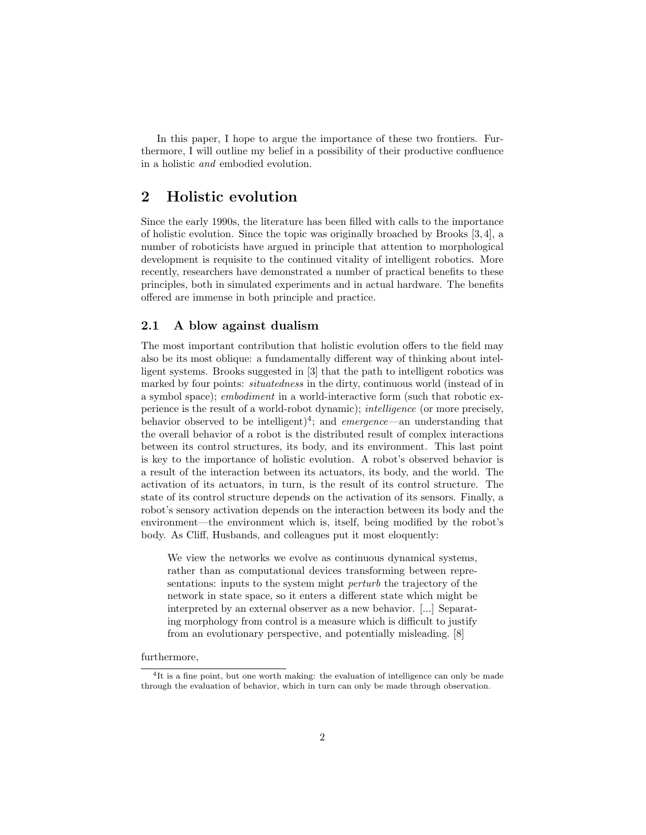In this paper, I hope to argue the importance of these two frontiers. Furthermore, I will outline my belief in a possibility of their productive confluence in a holistic and embodied evolution.

# 2 Holistic evolution

Since the early 1990s, the literature has been filled with calls to the importance of holistic evolution. Since the topic was originally broached by Brooks [\[3,](#page-7-1) [4\]](#page-7-2), a number of roboticists have argued in principle that attention to morphological development is requisite to the continued vitality of intelligent robotics. More recently, researchers have demonstrated a number of practical benefits to these principles, both in simulated experiments and in actual hardware. The benefits offered are immense in both principle and practice.

## 2.1 A blow against dualism

The most important contribution that holistic evolution offers to the field may also be its most oblique: a fundamentally different way of thinking about intelligent systems. Brooks suggested in [\[3\]](#page-7-1) that the path to intelligent robotics was marked by four points: *situatedness* in the dirty, continuous world (instead of in a symbol space); embodiment in a world-interactive form (such that robotic experience is the result of a world-robot dynamic); intelligence (or more precisely, behavior observed to be intelligent)<sup>[4](#page-1-0)</sup>; and *emergence*—an understanding that the overall behavior of a robot is the distributed result of complex interactions between its control structures, its body, and its environment. This last point is key to the importance of holistic evolution. A robot's observed behavior is a result of the interaction between its actuators, its body, and the world. The activation of its actuators, in turn, is the result of its control structure. The state of its control structure depends on the activation of its sensors. Finally, a robot's sensory activation depends on the interaction between its body and the environment—the environment which is, itself, being modified by the robot's body. As Cliff, Husbands, and colleagues put it most eloquently:

We view the networks we evolve as continuous dynamical systems, rather than as computational devices transforming between representations: inputs to the system might *perturb* the trajectory of the network in state space, so it enters a different state which might be interpreted by an external observer as a new behavior. [...] Separating morphology from control is a measure which is difficult to justify from an evolutionary perspective, and potentially misleading. [\[8\]](#page-8-0)

### furthermore,

<span id="page-1-0"></span><sup>&</sup>lt;sup>4</sup>It is a fine point, but one worth making: the evaluation of intelligence can only be made through the evaluation of behavior, which in turn can only be made through observation.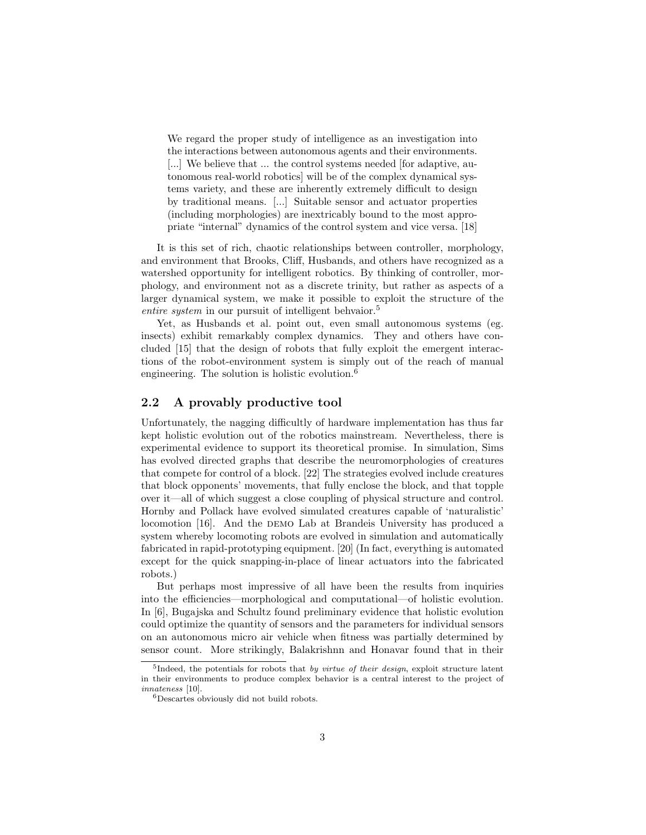We regard the proper study of intelligence as an investigation into the interactions between autonomous agents and their environments. [...] We believe that ... the control systems needed [for adaptive, autonomous real-world robotics] will be of the complex dynamical systems variety, and these are inherently extremely difficult to design by traditional means. [...] Suitable sensor and actuator properties (including morphologies) are inextricably bound to the most appropriate "internal" dynamics of the control system and vice versa. [\[18\]](#page-8-3)

It is this set of rich, chaotic relationships between controller, morphology, and environment that Brooks, Cliff, Husbands, and others have recognized as a watershed opportunity for intelligent robotics. By thinking of controller, morphology, and environment not as a discrete trinity, but rather as aspects of a larger dynamical system, we make it possible to exploit the structure of the entire system in our pursuit of intelligent behvaior.<sup>[5](#page-2-0)</sup>

Yet, as Husbands et al. point out, even small autonomous systems (eg. insects) exhibit remarkably complex dynamics. They and others have concluded [\[15\]](#page-8-4) that the design of robots that fully exploit the emergent interactions of the robot-environment system is simply out of the reach of manual engineering. The solution is holistic evolution.<sup>[6](#page-2-1)</sup>

## 2.2 A provably productive tool

Unfortunately, the nagging difficultly of hardware implementation has thus far kept holistic evolution out of the robotics mainstream. Nevertheless, there is experimental evidence to support its theoretical promise. In simulation, Sims has evolved directed graphs that describe the neuromorphologies of creatures that compete for control of a block. [\[22\]](#page-9-0) The strategies evolved include creatures that block opponents' movements, that fully enclose the block, and that topple over it—all of which suggest a close coupling of physical structure and control. Hornby and Pollack have evolved simulated creatures capable of 'naturalistic' locomotion [\[16\]](#page-8-5). And the demo Lab at Brandeis University has produced a system whereby locomoting robots are evolved in simulation and automatically fabricated in rapid-prototyping equipment. [\[20\]](#page-8-6) (In fact, everything is automated except for the quick snapping-in-place of linear actuators into the fabricated robots.)

But perhaps most impressive of all have been the results from inquiries into the efficiencies—morphological and computational—of holistic evolution. In [\[6\]](#page-7-3), Bugajska and Schultz found preliminary evidence that holistic evolution could optimize the quantity of sensors and the parameters for individual sensors on an autonomous micro air vehicle when fitness was partially determined by sensor count. More strikingly, Balakrishnn and Honavar found that in their

<span id="page-2-0"></span><sup>&</sup>lt;sup>5</sup>Indeed, the potentials for robots that by virtue of their design, exploit structure latent in their environments to produce complex behavior is a central interest to the project of innateness [\[10\]](#page-8-7).

<span id="page-2-1"></span><sup>6</sup>Descartes obviously did not build robots.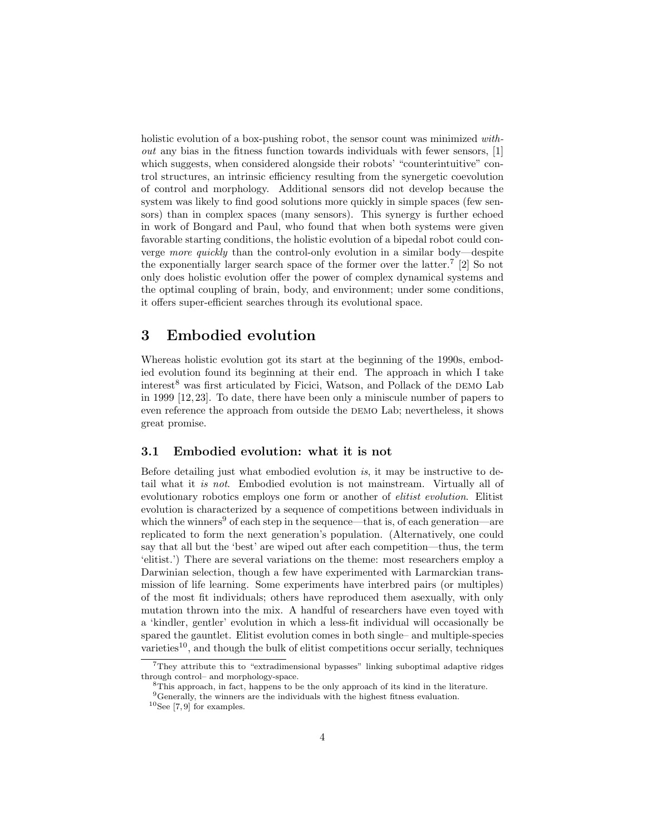holistic evolution of a box-pushing robot, the sensor count was minimized without any bias in the fitness function towards individuals with fewer sensors, [\[1\]](#page-7-4) which suggests, when considered alongside their robots' "counterintuitive" control structures, an intrinsic efficiency resulting from the synergetic coevolution of control and morphology. Additional sensors did not develop because the system was likely to find good solutions more quickly in simple spaces (few sensors) than in complex spaces (many sensors). This synergy is further echoed in work of Bongard and Paul, who found that when both systems were given favorable starting conditions, the holistic evolution of a bipedal robot could converge more quickly than the control-only evolution in a similar body—despite the exponentially larger search space of the former over the latter.[7](#page-3-0) [\[2\]](#page-7-5) So not only does holistic evolution offer the power of complex dynamical systems and the optimal coupling of brain, body, and environment; under some conditions, it offers super-efficient searches through its evolutional space.

# 3 Embodied evolution

Whereas holistic evolution got its start at the beginning of the 1990s, embodied evolution found its beginning at their end. The approach in which I take  $interest^8$  $interest^8$  was first articulated by Ficici, Watson, and Pollack of the DEMO Lab in 1999 [\[12,](#page-8-1) [23\]](#page-9-1). To date, there have been only a miniscule number of papers to even reference the approach from outside the DEMO Lab; nevertheless, it shows great promise.

# 3.1 Embodied evolution: what it is not

Before detailing just what embodied evolution is, it may be instructive to detail what it is not. Embodied evolution is not mainstream. Virtually all of evolutionary robotics employs one form or another of elitist evolution. Elitist evolution is characterized by a sequence of competitions between individuals in which the winners<sup>[9](#page-3-2)</sup> of each step in the sequence—that is, of each generation—are replicated to form the next generation's population. (Alternatively, one could say that all but the 'best' are wiped out after each competition—thus, the term 'elitist.') There are several variations on the theme: most researchers employ a Darwinian selection, though a few have experimented with Larmarckian transmission of life learning. Some experiments have interbred pairs (or multiples) of the most fit individuals; others have reproduced them asexually, with only mutation thrown into the mix. A handful of researchers have even toyed with a 'kindler, gentler' evolution in which a less-fit individual will occasionally be spared the gauntlet. Elitist evolution comes in both single– and multiple-species varieties<sup>[10](#page-3-3)</sup>, and though the bulk of elitist competitions occur serially, techniques

<span id="page-3-0"></span><sup>7</sup>They attribute this to "extradimensional bypasses" linking suboptimal adaptive ridges through control– and morphology-space.

<span id="page-3-1"></span><sup>8</sup>This approach, in fact, happens to be the only approach of its kind in the literature.

<span id="page-3-2"></span> $9^9$ Generally, the winners are the individuals with the highest fitness evaluation.

<span id="page-3-3"></span> $10$ See [\[7,](#page-8-8)9] for examples.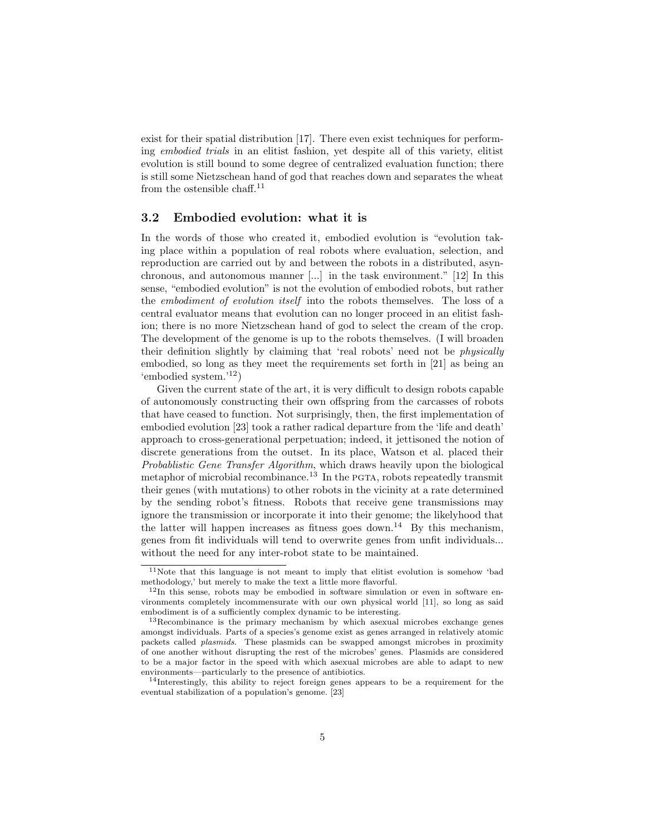exist for their spatial distribution [\[17\]](#page-8-10). There even exist techniques for performing embodied trials in an elitist fashion, yet despite all of this variety, elitist evolution is still bound to some degree of centralized evaluation function; there is still some Nietzschean hand of god that reaches down and separates the wheat from the ostensible chaff.<sup>[11](#page-4-0)</sup>

## 3.2 Embodied evolution: what it is

In the words of those who created it, embodied evolution is "evolution taking place within a population of real robots where evaluation, selection, and reproduction are carried out by and between the robots in a distributed, asynchronous, and autonomous manner [...] in the task environment." [\[12\]](#page-8-1) In this sense, "embodied evolution" is not the evolution of embodied robots, but rather the embodiment of evolution itself into the robots themselves. The loss of a central evaluator means that evolution can no longer proceed in an elitist fashion; there is no more Nietzschean hand of god to select the cream of the crop. The development of the genome is up to the robots themselves. (I will broaden their definition slightly by claiming that 'real robots' need not be physically embodied, so long as they meet the requirements set forth in [\[21\]](#page-8-2) as being an 'embodied system.'[12](#page-4-1))

Given the current state of the art, it is very difficult to design robots capable of autonomously constructing their own offspring from the carcasses of robots that have ceased to function. Not surprisingly, then, the first implementation of embodied evolution [\[23\]](#page-9-1) took a rather radical departure from the 'life and death' approach to cross-generational perpetuation; indeed, it jettisoned the notion of discrete generations from the outset. In its place, Watson et al. placed their Probablistic Gene Transfer Algorithm, which draws heavily upon the biological metaphor of microbial recombinance.<sup>[13](#page-4-2)</sup> In the PGTA, robots repeatedly transmit their genes (with mutations) to other robots in the vicinity at a rate determined by the sending robot's fitness. Robots that receive gene transmissions may ignore the transmission or incorporate it into their genome; the likelyhood that the latter will happen increases as fitness goes down.<sup>[14](#page-4-3)</sup> By this mechanism, genes from fit individuals will tend to overwrite genes from unfit individuals... without the need for any inter-robot state to be maintained.

<span id="page-4-0"></span> $11$ Note that this language is not meant to imply that elitist evolution is somehow 'bad methodology,' but merely to make the text a little more flavorful.

<span id="page-4-1"></span> $12$ In this sense, robots may be embodied in software simulation or even in software environments completely incommensurate with our own physical world [\[11\]](#page-8-11), so long as said embodiment is of a sufficiently complex dynamic to be interesting.

<span id="page-4-2"></span><sup>13</sup>Recombinance is the primary mechanism by which asexual microbes exchange genes amongst individuals. Parts of a species's genome exist as genes arranged in relatively atomic packets called plasmids. These plasmids can be swapped amongst microbes in proximity of one another without disrupting the rest of the microbes' genes. Plasmids are considered to be a major factor in the speed with which asexual microbes are able to adapt to new environments—particularly to the presence of antibiotics.

<span id="page-4-3"></span><sup>14</sup>Interestingly, this ability to reject foreign genes appears to be a requirement for the eventual stabilization of a population's genome. [\[23\]](#page-9-1)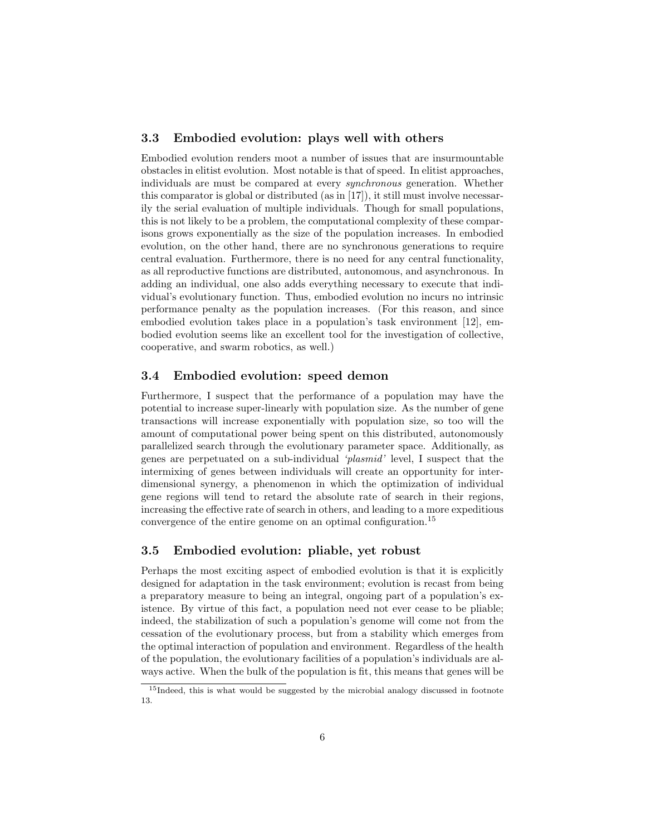## 3.3 Embodied evolution: plays well with others

Embodied evolution renders moot a number of issues that are insurmountable obstacles in elitist evolution. Most notable is that of speed. In elitist approaches, individuals are must be compared at every synchronous generation. Whether this comparator is global or distributed (as in [\[17\]](#page-8-10)), it still must involve necessarily the serial evaluation of multiple individuals. Though for small populations, this is not likely to be a problem, the computational complexity of these comparisons grows exponentially as the size of the population increases. In embodied evolution, on the other hand, there are no synchronous generations to require central evaluation. Furthermore, there is no need for any central functionality, as all reproductive functions are distributed, autonomous, and asynchronous. In adding an individual, one also adds everything necessary to execute that individual's evolutionary function. Thus, embodied evolution no incurs no intrinsic performance penalty as the population increases. (For this reason, and since embodied evolution takes place in a population's task environment [\[12\]](#page-8-1), embodied evolution seems like an excellent tool for the investigation of collective, cooperative, and swarm robotics, as well.)

## 3.4 Embodied evolution: speed demon

Furthermore, I suspect that the performance of a population may have the potential to increase super-linearly with population size. As the number of gene transactions will increase exponentially with population size, so too will the amount of computational power being spent on this distributed, autonomously parallelized search through the evolutionary parameter space. Additionally, as genes are perpetuated on a sub-individual 'plasmid' level, I suspect that the intermixing of genes between individuals will create an opportunity for interdimensional synergy, a phenomenon in which the optimization of individual gene regions will tend to retard the absolute rate of search in their regions, increasing the effective rate of search in others, and leading to a more expeditious convergence of the entire genome on an optimal configuration.[15](#page-5-0)

## 3.5 Embodied evolution: pliable, yet robust

Perhaps the most exciting aspect of embodied evolution is that it is explicitly designed for adaptation in the task environment; evolution is recast from being a preparatory measure to being an integral, ongoing part of a population's existence. By virtue of this fact, a population need not ever cease to be pliable; indeed, the stabilization of such a population's genome will come not from the cessation of the evolutionary process, but from a stability which emerges from the optimal interaction of population and environment. Regardless of the health of the population, the evolutionary facilities of a population's individuals are always active. When the bulk of the population is fit, this means that genes will be

<span id="page-5-0"></span><sup>&</sup>lt;sup>15</sup>Indeed, this is what would be suggested by the microbial analogy discussed in footnote [13.](#page-4-2)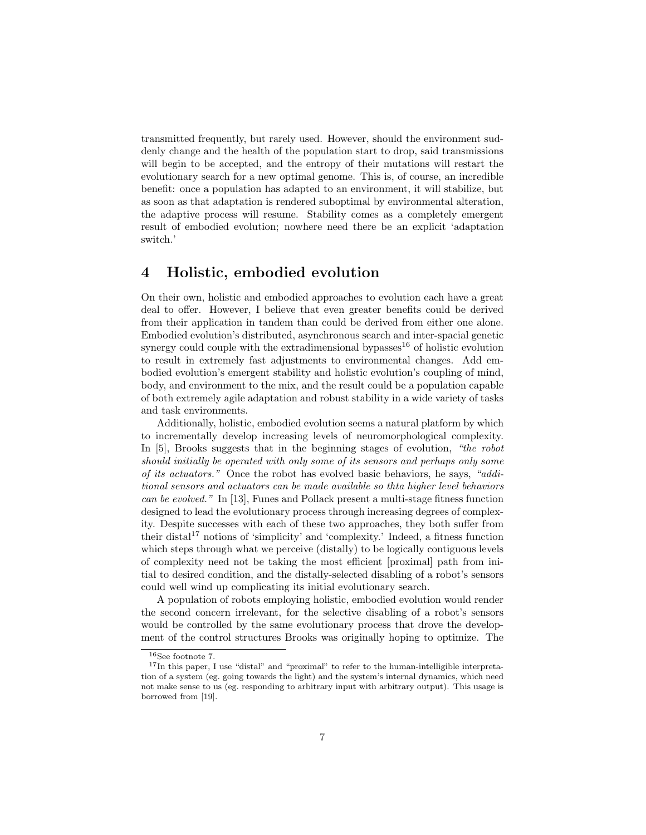transmitted frequently, but rarely used. However, should the environment suddenly change and the health of the population start to drop, said transmissions will begin to be accepted, and the entropy of their mutations will restart the evolutionary search for a new optimal genome. This is, of course, an incredible benefit: once a population has adapted to an environment, it will stabilize, but as soon as that adaptation is rendered suboptimal by environmental alteration, the adaptive process will resume. Stability comes as a completely emergent result of embodied evolution; nowhere need there be an explicit 'adaptation switch.'

# 4 Holistic, embodied evolution

On their own, holistic and embodied approaches to evolution each have a great deal to offer. However, I believe that even greater benefits could be derived from their application in tandem than could be derived from either one alone. Embodied evolution's distributed, asynchronous search and inter-spacial genetic synergy could couple with the extradimensional bypasses $16$  of holistic evolution to result in extremely fast adjustments to environmental changes. Add embodied evolution's emergent stability and holistic evolution's coupling of mind, body, and environment to the mix, and the result could be a population capable of both extremely agile adaptation and robust stability in a wide variety of tasks and task environments.

Additionally, holistic, embodied evolution seems a natural platform by which to incrementally develop increasing levels of neuromorphological complexity. In [\[5\]](#page-7-0), Brooks suggests that in the beginning stages of evolution, "the robot should initially be operated with only some of its sensors and perhaps only some of its actuators." Once the robot has evolved basic behaviors, he says, "additional sensors and actuators can be made available so thta higher level behaviors can be evolved." In [\[13\]](#page-8-12), Funes and Pollack present a multi-stage fitness function designed to lead the evolutionary process through increasing degrees of complexity. Despite successes with each of these two approaches, they both suffer from their distal<sup>[17](#page-6-1)</sup> notions of 'simplicity' and 'complexity.' Indeed, a fitness function which steps through what we perceive (distally) to be logically contiguous levels of complexity need not be taking the most efficient [proximal] path from initial to desired condition, and the distally-selected disabling of a robot's sensors could well wind up complicating its initial evolutionary search.

A population of robots employing holistic, embodied evolution would render the second concern irrelevant, for the selective disabling of a robot's sensors would be controlled by the same evolutionary process that drove the development of the control structures Brooks was originally hoping to optimize. The

<span id="page-6-1"></span><span id="page-6-0"></span> $^{16}\mathrm{See}$  footnote [7.](#page-3-0)

 $17$ In this paper, I use "distal" and "proximal" to refer to the human-intelligible interpretation of a system (eg. going towards the light) and the system's internal dynamics, which need not make sense to us (eg. responding to arbitrary input with arbitrary output). This usage is borrowed from [\[19\]](#page-8-13).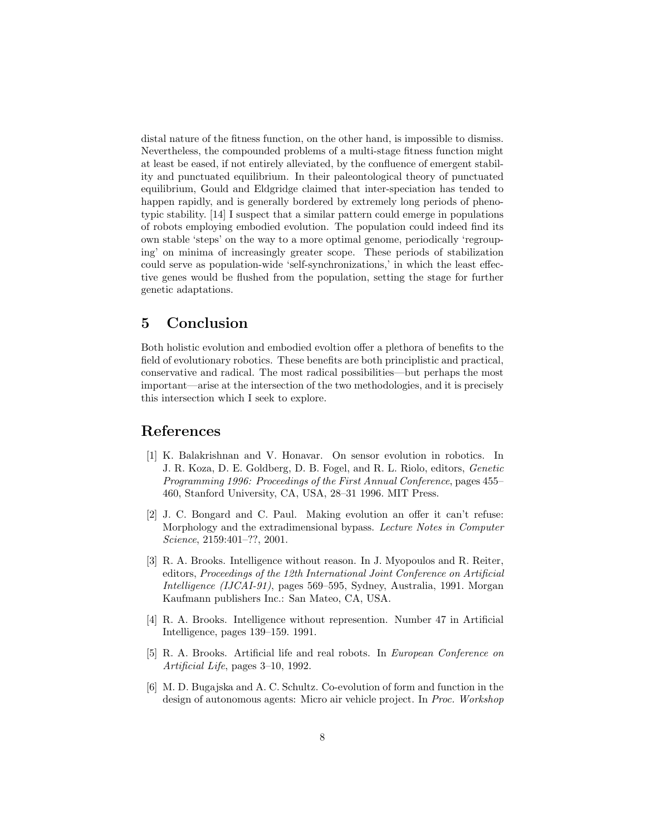distal nature of the fitness function, on the other hand, is impossible to dismiss. Nevertheless, the compounded problems of a multi-stage fitness function might at least be eased, if not entirely alleviated, by the confluence of emergent stability and punctuated equilibrium. In their paleontological theory of punctuated equilibrium, Gould and Eldgridge claimed that inter-speciation has tended to happen rapidly, and is generally bordered by extremely long periods of phenotypic stability. [\[14\]](#page-8-14) I suspect that a similar pattern could emerge in populations of robots employing embodied evolution. The population could indeed find its own stable 'steps' on the way to a more optimal genome, periodically 'regrouping' on minima of increasingly greater scope. These periods of stabilization could serve as population-wide 'self-synchronizations,' in which the least effective genes would be flushed from the population, setting the stage for further genetic adaptations.

# 5 Conclusion

Both holistic evolution and embodied evoltion offer a plethora of benefits to the field of evolutionary robotics. These benefits are both principlistic and practical, conservative and radical. The most radical possibilities—but perhaps the most important—arise at the intersection of the two methodologies, and it is precisely this intersection which I seek to explore.

# References

- <span id="page-7-4"></span>[1] K. Balakrishnan and V. Honavar. On sensor evolution in robotics. In J. R. Koza, D. E. Goldberg, D. B. Fogel, and R. L. Riolo, editors, Genetic Programming 1996: Proceedings of the First Annual Conference, pages 455– 460, Stanford University, CA, USA, 28–31 1996. MIT Press.
- <span id="page-7-5"></span>[2] J. C. Bongard and C. Paul. Making evolution an offer it can't refuse: Morphology and the extradimensional bypass. Lecture Notes in Computer Science, 2159:401–??, 2001.
- <span id="page-7-1"></span>[3] R. A. Brooks. Intelligence without reason. In J. Myopoulos and R. Reiter, editors, Proceedings of the 12th International Joint Conference on Artificial Intelligence (IJCAI-91), pages 569–595, Sydney, Australia, 1991. Morgan Kaufmann publishers Inc.: San Mateo, CA, USA.
- <span id="page-7-2"></span>[4] R. A. Brooks. Intelligence without represention. Number 47 in Artificial Intelligence, pages 139–159. 1991.
- <span id="page-7-0"></span>[5] R. A. Brooks. Artificial life and real robots. In European Conference on Artificial Life, pages 3–10, 1992.
- <span id="page-7-3"></span>[6] M. D. Bugajska and A. C. Schultz. Co-evolution of form and function in the design of autonomous agents: Micro air vehicle project. In Proc. Workshop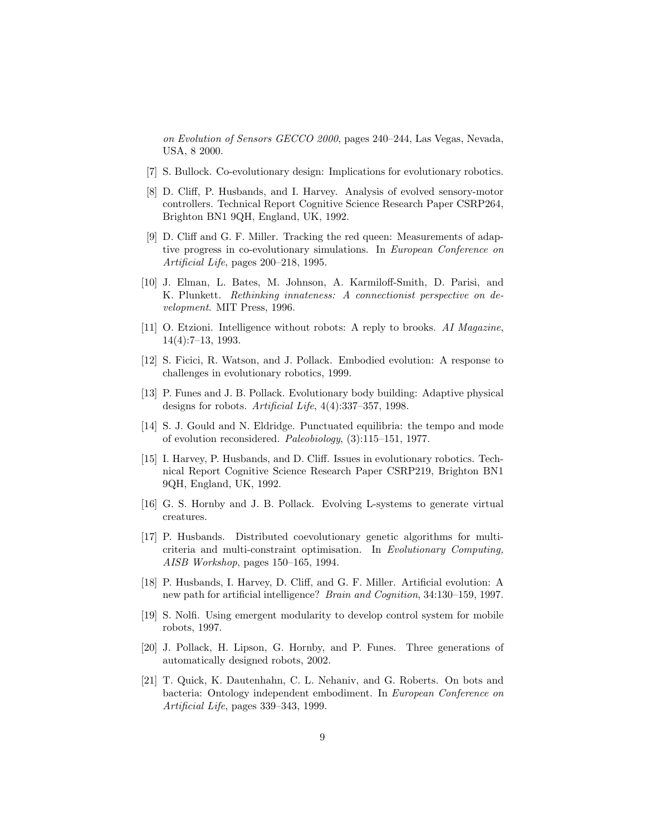on Evolution of Sensors GECCO 2000, pages 240–244, Las Vegas, Nevada, USA, 8 2000.

- <span id="page-8-8"></span>[7] S. Bullock. Co-evolutionary design: Implications for evolutionary robotics.
- <span id="page-8-0"></span>[8] D. Cliff, P. Husbands, and I. Harvey. Analysis of evolved sensory-motor controllers. Technical Report Cognitive Science Research Paper CSRP264, Brighton BN1 9QH, England, UK, 1992.
- <span id="page-8-9"></span>[9] D. Cliff and G. F. Miller. Tracking the red queen: Measurements of adaptive progress in co-evolutionary simulations. In European Conference on Artificial Life, pages 200–218, 1995.
- <span id="page-8-7"></span>[10] J. Elman, L. Bates, M. Johnson, A. Karmiloff-Smith, D. Parisi, and K. Plunkett. Rethinking innateness: A connectionist perspective on development. MIT Press, 1996.
- <span id="page-8-11"></span>[11] O. Etzioni. Intelligence without robots: A reply to brooks. AI Magazine, 14(4):7–13, 1993.
- <span id="page-8-1"></span>[12] S. Ficici, R. Watson, and J. Pollack. Embodied evolution: A response to challenges in evolutionary robotics, 1999.
- <span id="page-8-12"></span>[13] P. Funes and J. B. Pollack. Evolutionary body building: Adaptive physical designs for robots. Artificial Life, 4(4):337–357, 1998.
- <span id="page-8-14"></span>[14] S. J. Gould and N. Eldridge. Punctuated equilibria: the tempo and mode of evolution reconsidered. Paleobiology, (3):115–151, 1977.
- <span id="page-8-4"></span>[15] I. Harvey, P. Husbands, and D. Cliff. Issues in evolutionary robotics. Technical Report Cognitive Science Research Paper CSRP219, Brighton BN1 9QH, England, UK, 1992.
- <span id="page-8-5"></span>[16] G. S. Hornby and J. B. Pollack. Evolving L-systems to generate virtual creatures.
- <span id="page-8-10"></span>[17] P. Husbands. Distributed coevolutionary genetic algorithms for multicriteria and multi-constraint optimisation. In Evolutionary Computing, AISB Workshop, pages 150–165, 1994.
- <span id="page-8-3"></span>[18] P. Husbands, I. Harvey, D. Cliff, and G. F. Miller. Artificial evolution: A new path for artificial intelligence? Brain and Cognition, 34:130–159, 1997.
- <span id="page-8-13"></span>[19] S. Nolfi. Using emergent modularity to develop control system for mobile robots, 1997.
- <span id="page-8-6"></span>[20] J. Pollack, H. Lipson, G. Hornby, and P. Funes. Three generations of automatically designed robots, 2002.
- <span id="page-8-2"></span>[21] T. Quick, K. Dautenhahn, C. L. Nehaniv, and G. Roberts. On bots and bacteria: Ontology independent embodiment. In European Conference on Artificial Life, pages 339–343, 1999.